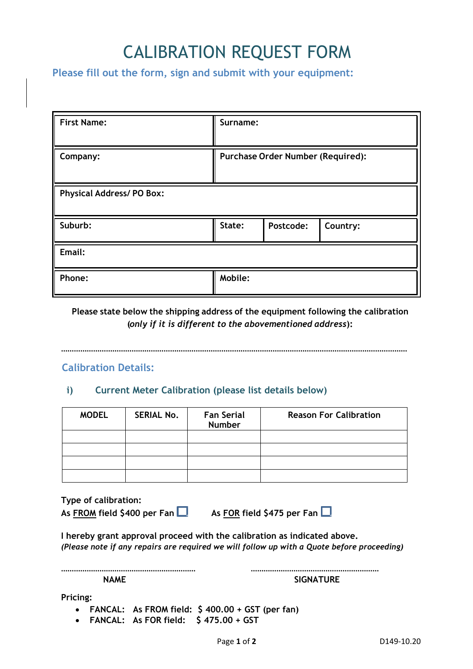# CALIBRATION REQUEST FORM

**Please fill out the form, sign and submit with your equipment:** 

| <b>First Name:</b>              | Surname:                                 |           |          |  |
|---------------------------------|------------------------------------------|-----------|----------|--|
| Company:                        | <b>Purchase Order Number (Required):</b> |           |          |  |
| <b>Physical Address/PO Box:</b> |                                          |           |          |  |
| Suburb:                         | State:                                   | Postcode: | Country: |  |
| Email:                          |                                          |           |          |  |
| Phone:                          | Mobile:                                  |           |          |  |

**Please state below the shipping address of the equipment following the calibration (***only if it is different to the abovementioned address***):** 

………………………………………………………………………………………………………………………………………………

# **Calibration Details:**

## **i) Current Meter Calibration (please list details below)**

| <b>MODEL</b> | <b>SERIAL No.</b> | <b>Fan Serial</b><br><b>Number</b> | <b>Reason For Calibration</b> |
|--------------|-------------------|------------------------------------|-------------------------------|
|              |                   |                                    |                               |
|              |                   |                                    |                               |
|              |                   |                                    |                               |
|              |                   |                                    |                               |

**Type of calibration:** 

As FROM field \$400 per Fan  $\Box$  As FOR field \$475 per Fan  $\Box$ 

**I hereby grant approval proceed with the calibration as indicated above.**  *(Please note if any repairs are required we will follow up with a Quote before proceeding)* 

**……………………………………………………… …………………………………………………… NAME** SIGNATURE

**Pricing:** 

**FANCAL: As FROM field: \$ 400.00 + GST (per fan)** 

**FANCAL: As FOR field: \$ 475.00 + GST**